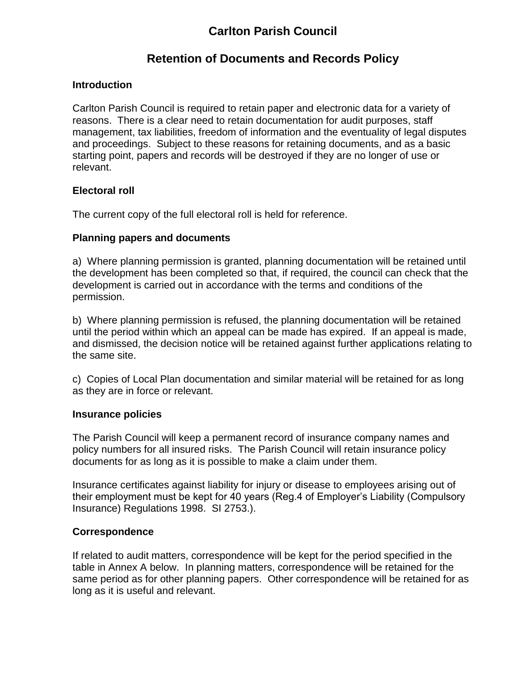# **Carlton Parish Council**

## **Retention of Documents and Records Policy**

## **Introduction**

Carlton Parish Council is required to retain paper and electronic data for a variety of reasons. There is a clear need to retain documentation for audit purposes, staff management, tax liabilities, freedom of information and the eventuality of legal disputes and proceedings. Subject to these reasons for retaining documents, and as a basic starting point, papers and records will be destroyed if they are no longer of use or relevant.

## **Electoral roll**

The current copy of the full electoral roll is held for reference.

## **Planning papers and documents**

a) Where planning permission is granted, planning documentation will be retained until the development has been completed so that, if required, the council can check that the development is carried out in accordance with the terms and conditions of the permission.

b) Where planning permission is refused, the planning documentation will be retained until the period within which an appeal can be made has expired. If an appeal is made, and dismissed, the decision notice will be retained against further applications relating to the same site.

c) Copies of Local Plan documentation and similar material will be retained for as long as they are in force or relevant.

## **Insurance policies**

The Parish Council will keep a permanent record of insurance company names and policy numbers for all insured risks. The Parish Council will retain insurance policy documents for as long as it is possible to make a claim under them.

Insurance certificates against liability for injury or disease to employees arising out of their employment must be kept for 40 years (Reg.4 of Employer's Liability (Compulsory Insurance) Regulations 1998. SI 2753.).

## **Correspondence**

If related to audit matters, correspondence will be kept for the period specified in the table in Annex A below. In planning matters, correspondence will be retained for the same period as for other planning papers. Other correspondence will be retained for as long as it is useful and relevant.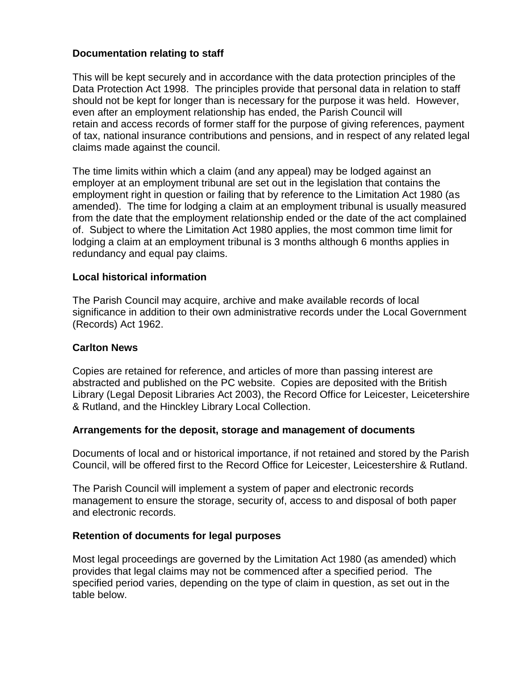## **Documentation relating to staff**

This will be kept securely and in accordance with the data protection principles of the Data Protection Act 1998. The principles provide that personal data in relation to staff should not be kept for longer than is necessary for the purpose it was held. However, even after an employment relationship has ended, the Parish Council will retain and access records of former staff for the purpose of giving references, payment of tax, national insurance contributions and pensions, and in respect of any related legal claims made against the council.

The time limits within which a claim (and any appeal) may be lodged against an employer at an employment tribunal are set out in the legislation that contains the employment right in question or failing that by reference to the Limitation Act 1980 (as amended). The time for lodging a claim at an employment tribunal is usually measured from the date that the employment relationship ended or the date of the act complained of. Subject to where the Limitation Act 1980 applies, the most common time limit for lodging a claim at an employment tribunal is 3 months although 6 months applies in redundancy and equal pay claims.

#### **Local historical information**

The Parish Council may acquire, archive and make available records of local significance in addition to their own administrative records under the Local Government (Records) Act 1962.

#### **Carlton News**

Copies are retained for reference, and articles of more than passing interest are abstracted and published on the PC website. Copies are deposited with the British Library (Legal Deposit Libraries Act 2003), the Record Office for Leicester, Leicetershire & Rutland, and the Hinckley Library Local Collection.

#### **Arrangements for the deposit, storage and management of documents**

Documents of local and or historical importance, if not retained and stored by the Parish Council, will be offered first to the Record Office for Leicester, Leicestershire & Rutland.

The Parish Council will implement a system of paper and electronic records management to ensure the storage, security of, access to and disposal of both paper and electronic records.

#### **Retention of documents for legal purposes**

Most legal proceedings are governed by the Limitation Act 1980 (as amended) which provides that legal claims may not be commenced after a specified period. The specified period varies, depending on the type of claim in question, as set out in the table below.